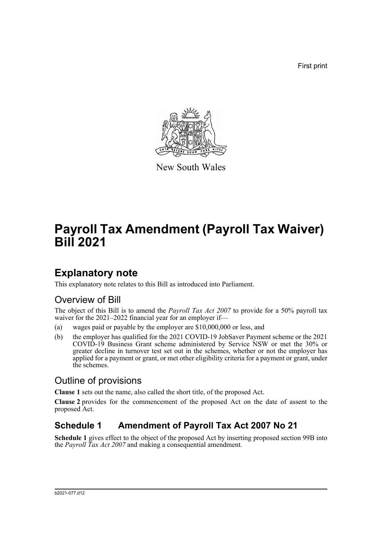First print



New South Wales

# **Payroll Tax Amendment (Payroll Tax Waiver) Bill 2021**

### **Explanatory note**

This explanatory note relates to this Bill as introduced into Parliament.

#### Overview of Bill

The object of this Bill is to amend the *Payroll Tax Act 2007* to provide for a 50% payroll tax waiver for the 2021–2022 financial year for an employer if—

- (a) wages paid or payable by the employer are \$10,000,000 or less, and
- (b) the employer has qualified for the 2021 COVID-19 JobSaver Payment scheme or the 2021 COVID-19 Business Grant scheme administered by Service NSW or met the 30% or greater decline in turnover test set out in the schemes, whether or not the employer has applied for a payment or grant, or met other eligibility criteria for a payment or grant, under the schemes.

#### Outline of provisions

**Clause 1** sets out the name, also called the short title, of the proposed Act.

**Clause 2** provides for the commencement of the proposed Act on the date of assent to the proposed Act.

### **Schedule 1 Amendment of Payroll Tax Act 2007 No 21**

**Schedule 1** gives effect to the object of the proposed Act by inserting proposed section 99B into the *Payroll Tax Act 2007* and making a consequential amendment.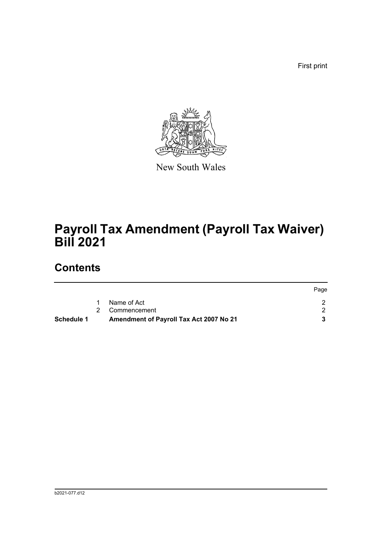First print



New South Wales

# **Payroll Tax Amendment (Payroll Tax Waiver) Bill 2021**

### **Contents**

| Schedule 1 | Amendment of Payroll Tax Act 2007 No 21 |      |
|------------|-----------------------------------------|------|
|            | 2 Commencement                          |      |
|            | Name of Act                             |      |
|            |                                         | Page |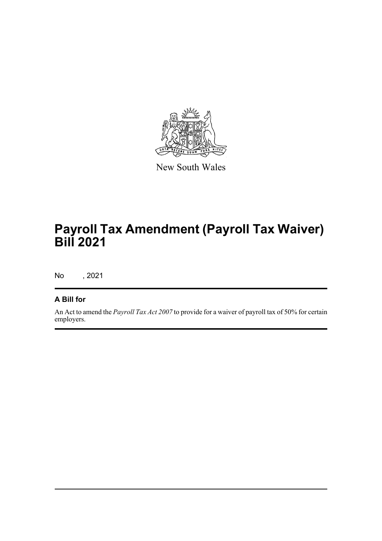

New South Wales

# **Payroll Tax Amendment (Payroll Tax Waiver) Bill 2021**

No , 2021

#### **A Bill for**

An Act to amend the *Payroll Tax Act 2007* to provide for a waiver of payroll tax of 50% for certain employers.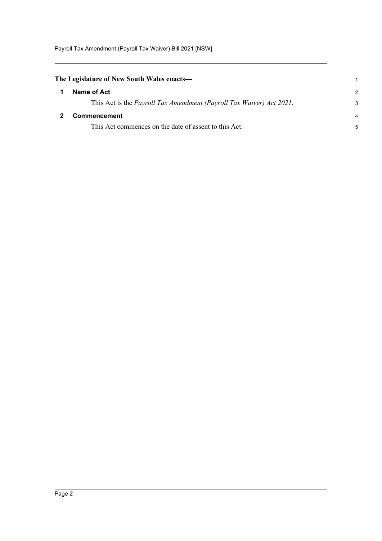Payroll Tax Amendment (Payroll Tax Waiver) Bill 2021 [NSW]

<span id="page-3-1"></span><span id="page-3-0"></span>

| The Legislature of New South Wales enacts— |                                                                      |               |
|--------------------------------------------|----------------------------------------------------------------------|---------------|
|                                            | Name of Act                                                          | $\mathcal{P}$ |
|                                            | This Act is the Payroll Tax Amendment (Payroll Tax Waiver) Act 2021. | 3             |
|                                            | Commencement                                                         | 4             |
|                                            | This Act commences on the date of assent to this Act.                | 5             |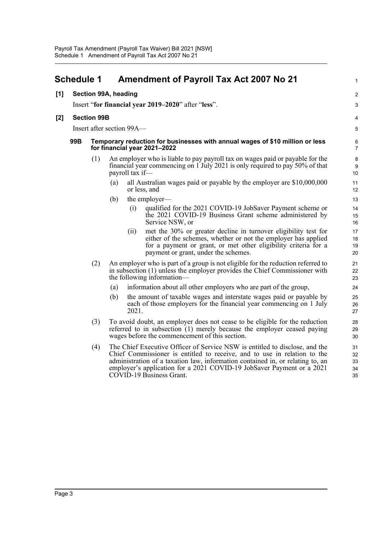<span id="page-4-0"></span>

|       | <b>Schedule 1</b>                                   |                      |                                                                                                              |       | <b>Amendment of Payroll Tax Act 2007 No 21</b>                                                                                                                                                                                                                                                                                                 | 1                          |  |  |  |
|-------|-----------------------------------------------------|----------------------|--------------------------------------------------------------------------------------------------------------|-------|------------------------------------------------------------------------------------------------------------------------------------------------------------------------------------------------------------------------------------------------------------------------------------------------------------------------------------------------|----------------------------|--|--|--|
| [1]   |                                                     | Section 99A, heading |                                                                                                              |       |                                                                                                                                                                                                                                                                                                                                                | 2                          |  |  |  |
|       | Insert "for financial year 2019–2020" after "less". |                      |                                                                                                              |       |                                                                                                                                                                                                                                                                                                                                                |                            |  |  |  |
| $[2]$ | <b>Section 99B</b>                                  |                      |                                                                                                              |       |                                                                                                                                                                                                                                                                                                                                                |                            |  |  |  |
|       | Insert after section 99A-                           |                      |                                                                                                              |       |                                                                                                                                                                                                                                                                                                                                                |                            |  |  |  |
|       | 99B                                                 |                      | Temporary reduction for businesses with annual wages of \$10 million or less<br>for financial year 2021-2022 |       |                                                                                                                                                                                                                                                                                                                                                |                            |  |  |  |
|       |                                                     | (1)                  |                                                                                                              |       | An employer who is liable to pay payroll tax on wages paid or payable for the<br>financial year commencing on 1 July 2021 is only required to pay 50% of that<br>payroll tax if—                                                                                                                                                               |                            |  |  |  |
|       |                                                     |                      | (a)                                                                                                          |       | all Australian wages paid or payable by the employer are \$10,000,000<br>or less, and                                                                                                                                                                                                                                                          | 11<br>12                   |  |  |  |
|       |                                                     |                      | (b)                                                                                                          |       | the employer—                                                                                                                                                                                                                                                                                                                                  | 13                         |  |  |  |
|       |                                                     |                      |                                                                                                              | (i)   | qualified for the 2021 COVID-19 JobSaver Payment scheme or<br>the 2021 COVID-19 Business Grant scheme administered by<br>Service NSW, or                                                                                                                                                                                                       | 14<br>15<br>16             |  |  |  |
|       |                                                     |                      |                                                                                                              | (11)  | met the 30% or greater decline in turnover eligibility test for<br>either of the schemes, whether or not the employer has applied<br>for a payment or grant, or met other eligibility criteria for a<br>payment or grant, under the schemes.                                                                                                   | 17<br>18<br>19<br>20       |  |  |  |
|       |                                                     | (2)                  |                                                                                                              |       | An employer who is part of a group is not eligible for the reduction referred to<br>in subsection (1) unless the employer provides the Chief Commissioner with<br>the following information-                                                                                                                                                   | 21<br>22<br>23             |  |  |  |
|       |                                                     |                      | (a)                                                                                                          |       | information about all other employers who are part of the group,                                                                                                                                                                                                                                                                               | 24                         |  |  |  |
|       |                                                     |                      | (b)                                                                                                          | 2021. | the amount of taxable wages and interstate wages paid or payable by<br>each of those employers for the financial year commencing on 1 July                                                                                                                                                                                                     | 25<br>26<br>27             |  |  |  |
|       |                                                     | (3)                  |                                                                                                              |       | To avoid doubt, an employer does not cease to be eligible for the reduction<br>referred to in subsection (1) merely because the employer ceased paying<br>wages before the commencement of this section.                                                                                                                                       | 28<br>29<br>30             |  |  |  |
|       |                                                     | (4)                  |                                                                                                              |       | The Chief Executive Officer of Service NSW is entitled to disclose, and the<br>Chief Commissioner is entitled to receive, and to use in relation to the<br>administration of a taxation law, information contained in, or relating to, an<br>employer's application for a 2021 COVID-19 JobSaver Payment or a 2021<br>COVID-19 Business Grant. | 31<br>32<br>33<br>34<br>35 |  |  |  |